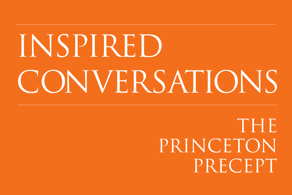# INSPIRED CONVERSATIONS

THE PRINCETON PRECEPT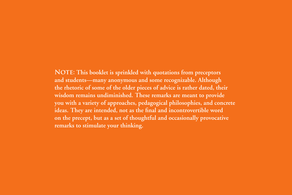**NOTE:** This booklet is sprinkled with quotations from preceptors **and students—many anonymous and some recognizable. Although the rhetoric of some of the older pieces of advice is rather dated, their wisdom remains undiminished. These remarks are meant to provide you with a variety of approaches, pedagogical philosophies, and concrete ideas. They are intended, not as the final and incontrovertible word on the precept, but as a set of thoughtful and occasionally provocative remarks to stimulate your thinking.**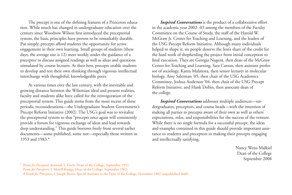The precept is one of the defining features of a Princeton education. While much has changed in undergraduate education over the century since Woodrow Wilson first introduced the preceptorial system, the basic principles have proven to be remarkably durable. Put simply, precepts afford students the opportunity for active engagement in their own learning. Small groups of students (these days, the average size is 12) meet weekly under the guidance of a preceptor to discuss assigned readings as well as ideas and questions stimulated by course lectures. At their best, precepts enable students to develop and test their own thinking through vigorous intellectual interchange with thoughtful, knowledgeable peers.

At various times over the last century, with the inevitable and growing distance between the Wilsonian ideal and present realities, faculty and students alike have called for the reinvigoration of the preceptorial system. This guide stems from the most recent of these periodic reconsiderations—the Undergraduate Student Government's Precept Reform Initiative (2002). The USG's goal was to revitalize the preceptorial system so that "precepts once again will consistently provide a forum for vigorous exchange of ideas and lead towards deep understanding." This guide borrows freely from several earlier documents—some published, some not—especially those written in 1953 and 1983.\*

*Inspired Conversations* is the product of a collaborative effort in the academic year 2002–03 among the members of the Faculty Committee on the Course of Study, the staff of the Harold W. McGraw Jr. Center for Teaching and Learning, and the leaders of the USG Precept Reform Initiative. Although many individuals helped to shape it, six people deserve the lion's share of the credit for the hard work of shepherding the project from initial conception to final execution. They are Georgia Nugent, then dean of the McGraw Center for Teaching and Learning, Sara Curran, then assistant professor of sociology, Karen Malatesta, then senior lecturer in molecular biology, Amy Saltzman '05, then chair of the USG Academics Committee, Joshua Anderson '04, then chair of the USG Precept Reform Initiative, and Hank Dobin, then associate dean of the college.

*Inspired Conversations* addresses multiple audiences—undergraduates, preceptors, and course heads—with the intention of making all parties to precepts aware of their own as well as others' expectations, roles, and responsibilities for the success of the venture. While there is no single formula for a successful precept, the ideas and examples contained in this guide should provide important assistance to students and preceptors in making their precepts engaging and intellectually satisfying.

> Nancy Weiss Malkiel Dean of the College September 2008

<sup>\*</sup> *Points for Preceptors*, Jeremiah S. Finch, Dean of the College, September 1953

*Points for Preceptors*, J. Merrill Knapp, Dean of the College, September 1962

*A Guide for Preceptors*, J. Joseph Burns, Special Assistant to the Dean of the College, November 1983 (unpublished draft)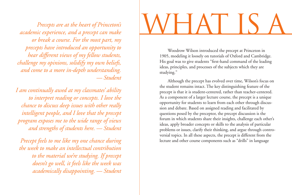*Precepts are at the heart of Princeton's academic experience, and a precept can make or break a course. For the most part, my precepts have introduced an opportunity to hear different views of my fellow students, challenge my opinions, solidify my own beliefs, and come to a more in-depth understanding. — Student*

*I am continually awed at my classmates' ability to interpret reading or concepts. I love the chance to discuss deep issues with other really intelligent people, and I love that the precept program exposes me to the wide range of views and strengths of students here. — Student*

*Precept feels to me like my one chance during the week to make an intellectual contribution to the material we're studying. If precept doesn't go well, it feels like the week was academically disappointing. — Student*

# WHAT IS A

Woodrow Wilson introduced the precept at Princeton in 1905, modeling it loosely on tutorials of Oxford and Cambridge. His goal was to give students "first-hand command of the leading ideas, principles, and processes of the subjects which they are studying."

Although the precept has evolved over time, Wilson's focus on the student remains intact. The key distinguishing feature of the precept is that it is student-centered, rather than teacher-centered. As a component of a larger lecture course, the precept is a unique opportunity for students to learn from each other through discussion and debate. Based on assigned reading and facilitated by questions posed by the preceptor, the precept discussion is the forum in which students share their insights, challenge each other's ideas, apply broader concepts or skills to the analysis of particular problems or issues, clarify their thinking, and argue through controversial topics. In all these aspects, the precept is different from the lecture and other course components such as "drills" in language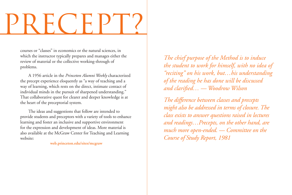# PRECEPT?

courses or "classes" in economics or the natural sciences, in which the instructor typically prepares and manages either the review of material or the collective working-through of problems.

A 1956 article in the *Princeton Alumni Weekly* characterized the precept experience eloquently as "a way of teaching and a way of learning, which rests on the direct, intimate contact of individual minds in the pursuit of sharpened understanding." That collaborative quest for clearer and deeper knowledge is at the heart of the preceptorial system.

The ideas and suggestions that follow are intended to provide students and preceptors with a variety of tools to enhance learning and foster an inclusive and supportive environment for the expression and development of ideas. More material is also available at the McGraw Center for Teaching and Learning website:

**web.princeton.edu/sites/mcgraw**

*The chief purpose of the Method is to induce the student to work for himself, with no idea of "reciting" on his work, but…his understanding of the reading he has done will be discussed and clarified… — Woodrow Wilson*

*The difference between classes and precepts might also be addressed in terms of closure. The class exists to answer questions raised in lectures and readings…Precepts, on the other hand, are much more open-ended. — Committee on the Course of Study Report, 1981*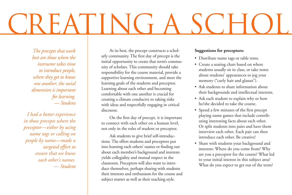### REATING A SCH

*The precepts that work best are those where the instructor takes time to introduce people, where they get to know one another; the social dimension is important for learning. — Student*

*I had a better experience in those precepts where the preceptor—either by using name tags or calling on people by name—made a targeted effort to ensure that we knew each other's names. — Student*

At its best, the precept constructs a scholarly community. The first day of precept is the initial opportunity to create that term's community of scholars. This community should take responsibility for the course material, provide a supportive learning environment, and meet the learning goals of the students and preceptor. Learning about each other and becoming comfortable with one another is crucial for creating a climate conducive to taking risks with ideas and respectfully engaging in critical discourse.

On the first day of precept, it is important to connect with each other on a human level, not only in the roles of student or preceptor.

Ask students to give brief self-introductions. The effort students and preceptors put into learning each others' names or finding out about each member's background and interests yields collegiality and mutual respect in the classroom. Preceptors will also want to introduce themselves, perhaps sharing with students their interests and enthusiasm for the course and subject matter as well as their teaching style.

#### **Suggestions for preceptors:**

- • Distribute name tags or table tents.
- Create a seating chart based on where students usually sit in class, or take notes about students' appearances to jog your memory ("curly hair and glasses").
- Ask students to share information about their backgrounds and intellectual interests.
- Ask each student to explain why or how he/she decided to take the course.
- • Spend a few minutes of the first precept playing name games that include contributing interesting facts about each other. Or split students into pairs and have them interview each other. Each pair can then introduce each other. Be creative!
- Share with students your background and interests: Where do you come from? Why are you a preceptor for the course? What led to your initial interest in this subject area? What do you expect to get out of the term?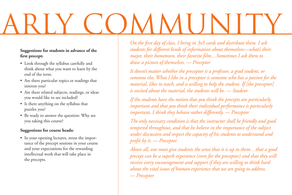# ARIY COMMUNITY

### **Suggestions for students in advance of the first precept:**

- • Look through the syllabus carefully and think about what you want to learn by the end of the term.
- Are there particular topics or readings that interest you?
- Are there related subjects, readings, or ideas you would like to see included?
- Is there anything on the syllabus that puzzles you?
- Be ready to answer the question: Why are you taking this course?

### **Suggestions for course heads:**

• In your opening lectures, stress the importance of the precept sessions in your course and your expectations for the rewarding intellectual work that will take place in the precepts.

*On the first day of class, I bring in 3x5 cards and distribute them. I ask students for different kinds of information about themselves—what's their major, their hometown, their favorite film…Sometimes I ask them to draw a picture of themselves. — Preceptor*

*It doesn't matter whether the preceptor is a professor, a grad student, or someone else. What I like in a preceptor is someone who has a passion for the material, likes to teach, and is willing to help the student. If [the preceptor] is excited about the material, the students will be. — Student*

*If the students have the notion that you think the precepts are particularly important and that you think their individual performance is particularly important, I think they behave rather differently. — Preceptor*

*The only necessary condition is that the instructor shall be friendly and good tempered throughout, and that he believe in the importance of the subject under discussion and respect the capacity of his students to understand and profit by it. — Preceptor*

*Above all, one must give students the sense that it is up to them…that a good precept can be a superb experience (even for the preceptor) and that they will receive every encouragement and support if they are willing to think hard about the vital issues of human experience that we are going to address. — Preceptor*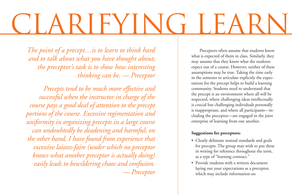### EYING TEA

*The point of a precept…is to learn to think hard and to talk about what you have thought about; the preceptor's task is to show how interesting thinking can be. — Preceptor*

*Precepts tend to be much more effective and successful when the instructor in charge of the course pays a good deal of attention to the precept portions of the course. Excessive regimentation and uniformity in organizing precepts in a large course can undoubtedly be deadening and harmful; on the other hand, I have found from experience that excessive laissez-faire (under which no preceptor knows what another preceptor is actually doing) easily leads to bewildering chaos and confusion. — Preceptor*

Preceptors often assume that students know what is expected of them in class. Similarly, they may assume that they know what the students expect out of a course. However, neither of these assumptions may be true. Taking the time early in the semester to articulate explicitly the expectations for the precept helps to build a learning community. Students need to understand that the precept is an environment where all will be respected, where challenging ideas intellectually is crucial but challenging individuals personally is inappropriate, and where all participants—including the preceptor—are engaged in the joint enterprise of learning from one another.

#### **Suggestions for preceptors:**

- • Clearly delineate mutual standards and goals for precepts. The group may wish to put these in writing for reference throughout the term, as a type of "learning contract."
- Provide students with a written document laying out your expectations as a preceptor, which may include information on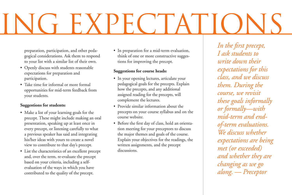# ING EXPECTATIONS

preparation, participation, and other pedagogical considerations. Ask them to respond to your list with a similar list of their own.

- • Openly discuss with students reasonable expectations for preparation and participation.
- Take time for informal or more formal opportunities for mid-term feedback from your students.

### **Suggestions for students:**

- Make a list of your learning goals for the precept. These might include making an oral presentation, speaking up at least once in every precept, or listening carefully to what a previous speaker has said and integrating his/her ideas with yours to create a novel view to contribute to that day's precept.
- List the characteristics of an excellent precept and, over the term, re-evaluate the precept based on your criteria, including a selfevaluation of the ways in which you have contributed to the quality of the precept.

• In preparation for a mid-term evaluation, think of one or more constructive suggestions for improving the precept.

### **Suggestions for course heads:**

- In your opening lectures, articulate your pedagogical goals for the precepts. Explain how the precepts, and any additional assigned reading for the precepts, will complement the lectures.
- Provide similar information about the precepts on your course syllabus and on the course website.
- • Before the first day of class, hold an orientation meeting for your preceptors to discuss the major themes and goals of the course. Explain your objectives for the readings, the written assignments, and the precept discussions.

*In the first precept, I ask students to write down their expectations for this class, and we discuss them. During the course, we revisit these goals informally or formally—with mid-term and endof-term evaluations. We discuss whether expectations are being met (or exceeded) and whether they are changing as we go along. — Preceptor*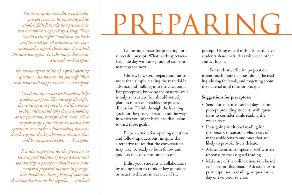*I'm never quite sure why a particular precept seems to be smashing while another falls flat. My best precept ever was one which I opened by asking, "Was Machiavelli right?" and then sat back and listened for 50 minutes as the class conducted a superb discussion. I've asked the question again, but the magic has never returned. — Preceptor*

*It's not enough to think of a great opening question. You have to ask yourself: "And then what will happen next?" — Preceptor*

*I send out an e-mail each week to help students prepare. The message identifies the readings and provides a little context so they understand why they are looking at the particular texts for that week. More importantly, I provide them with a few questions to consider while reading the texts that bring out the key themes and issues that will be discussed in class. — Preceptor*

*It is also important for the preceptor to have a good balance of preparedness and spontaneity; a preceptor should have some material prepared to cover in precept, but should also leave plenty of room for deviation from his or her agenda. — Student*

## PREPARIN

No formula exists for preparing for a successful precept. What works spectacularly one day with one group of students may flop the next.

Clearly, however, preparation means more than simply reading the material in advance and walking into the classroom. For preceptors, knowing the material well is only a first step. You should actively plan, as much as possible, the process of discussion. Think through the learning goals for the precept session and the ways in which you might help lead discussion toward those goals.

Prepare alternative opening questions and follow-up questions; imagine the alternative routes that the conversation may take; be ready to both follow and guide as the conversation takes off.

Enlist your students as collaborators by asking them to think of key questions or issues to discuss in advance of the

precept. Using e-mail or Blackboard, have students share their ideas with each other and with you.

For students, effective preparation means much more than just doing the reading, closing the book, and forgetting about the material until time for precept.

### **Suggestions for preceptors:**

- • Send out an e-mail several days before precept providing students with questions to consider while reading the week's texts.
- If assigning additional reading for the precept discussion, select texts of manageable length and ones that are likely to provoke lively debate.
- Ask students to compose a brief written response to the assigned reading.
- Make use of the online discussion board available on Blackboard. Ask students to post responses to reading or questions a day or two prior to class.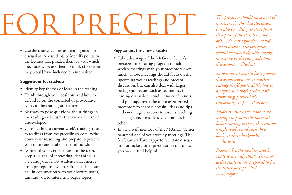### PRECE

• Use the course lectures as a springboard for discussion. Ask students to identify points in the lectures that puzzled them or with which they took issue; ask them to think of key ideas they would have included or emphasized.

### **Suggestions for students:**

- Identify key themes or ideas in the reading.
- • Think through your position, and how to defend it, on the contested or provocative issues in the reading or lectures.
- Be ready to pose questions about things in the reading or lectures that were unclear or undeveloped.
- Consider how a current week's readings relate to readings from the preceding weeks. Write down your reasoning and prepare to present your observations about the relationship.
- As part of your course notes for the term, keep a journal of interesting ideas of your own and your fellow students that emerge from precept discussion. Often, such a journal, in conjunction with your lecture notes, can lead you to interesting paper topics.

#### **Suggestions for course heads:**

- Take advantage of the McGraw Center's preceptor mentoring program to hold weekly meetings with your preceptors over lunch. Those meetings should focus on the upcoming week's readings and precept discussion, but can also deal with larger pedagogical issues such as techniques for leading discussion, conducting conferences, and grading. Invite the more experienced preceptors to share successful ideas and tips and encourage everyone to discuss teaching challenges and to seek advice from each other.
- Invite a staff member of the McGraw Center to attend one of your weekly meetings. The McGraw staff are happy to facilitate discussion or make a brief presentation on topics you would find helpful.

*The preceptor should have a set of questions for the class discussion, but also be willing to stray from that path if the class has some other relevant topic they would like to discuss. The preceptor should be knowledgeable enough so that he or she can guide that discussion. — Student*

*Sometimes I have students prepare discussion questions or mark a passage they'd particularly like to analyze (one that's problematic, interesting, particularly important, etc.). — Preceptor*

*Students must have made some attempt to process the material before coming to class; they cannot simply read it and stick their books in their backpacks. — Student*

*Prepare! Do the reading and be ready to actually think. The more active students are prepared to be, the better precept will be. — Preceptor*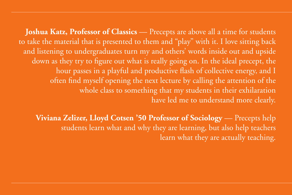**Joshua Katz, Professor of Classics** — Precepts are above all a time for students to take the material that is presented to them and "play" with it. I love sitting back and listening to undergraduates turn my and others' words inside out and upside down as they try to figure out what is really going on. In the ideal precept, the hour passes in a playful and productive flash of collective energy, and I often find myself opening the next lecture by calling the attention of the whole class to something that my students in their exhilaration have led me to understand more clearly.

**Viviana Zelizer, Lloyd Cotsen '50 Professor of Sociology** — Precepts help students learn what and why they are learning, but also help teachers learn what they are actually teaching.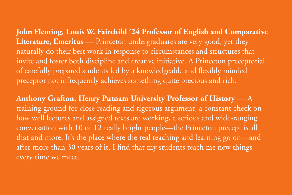**John Fleming, Louis W. Fairchild '24 Professor of English and Comparative Literature, Emeritus** — Princeton undergraduates are very good, yet they naturally do their best work in response to circumstances and structures that invite and foster both discipline and creative initiative. A Princeton preceptorial of carefully prepared students led by a knowledgeable and flexibly minded preceptor not infrequently achieves something quite precious and rich.

**Anthony Grafton, Henry Putnam University Professor of History** — A training ground for close reading and rigorous argument, a constant check on how well lectures and assigned texts are working, a serious and wide-ranging conversation with 10 or 12 really bright people—the Princeton precept is all that and more. It's the place where the real teaching and learning go on—and after more than 30 years of it, I find that my students teach me new things every time we meet.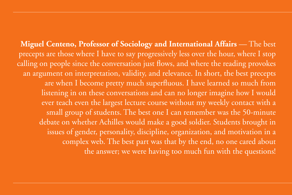**Miguel Centeno, Professor of Sociology and International Affairs** — The best precepts are those where I have to say progressively less over the hour, where I stop calling on people since the conversation just flows, and where the reading provokes an argument on interpretation, validity, and relevance. In short, the best precepts are when I become pretty much superfluous. I have learned so much from listening in on these conversations and can no longer imagine how I would ever teach even the largest lecture course without my weekly contact with a small group of students. The best one I can remember was the 50-minute debate on whether Achilles would make a good soldier. Students brought in issues of gender, personality, discipline, organization, and motivation in a complex web. The best part was that by the end, no one cared about the answer; we were having too much fun with the questions!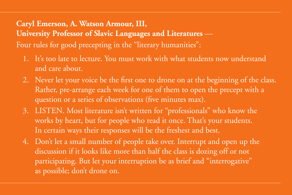### **Caryl Emerson, A. Watson Armour, III, University Professor of Slavic Languages and Literatures** — Four rules for good precepting in the "literary humanities":

- 1. It's too late to lecture. You must work with what students now understand and care about.
- 2. Never let your voice be the first one to drone on at the beginning of the class. Rather, pre-arrange each week for one of them to open the precept with a question or a series of observations (five minutes max).
- 3. LISTEN. Most literature isn't written for "professionals" who know the works by heart, but for people who read it once. That's your students. In certain ways their responses will be the freshest and best.
- 4. Don't let a small number of people take over. Interrupt and open up the discussion if it looks like more than half the class is dozing off or not participating. But let your interruption be as brief and "interrogative" as possible; don't drone on.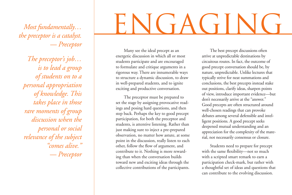*the preceptor is a catalyst. — Preceptor*

*The preceptor's job… is to lead a group of students on to a personal appropriation of knowledge. This takes place in those rare moments of group discussion when the personal or social relevance of the subject "comes alive." — Preceptor*

## Most fundamentally…

Many see the ideal precept as an energetic discussion in which all or most students participate and are encouraged to formulate and critique arguments in a rigorous way. There are innumerable ways to structure a dynamic discussion, to draw in well-prepared students, and to ignite exciting and productive conversation.

The preceptor must be prepared to set the stage by assigning provocative readings and posing hard questions, and then step back. Perhaps the key to good precept participation, for both the preceptor and students, is attentive listening. Rather than just making sure to inject a pre-prepared observation, no matter how astute, at some point in the discussion, really listen to each other, follow the flow of argument, and contribute to it. Nothing is more rewarding than when the conversation builds toward new and exciting ideas through the collective contributions of the participants.

The best precept discussions often arrive at unpredictable destinations by circuitous routes. In fact, the outcome of good precept conversation should be, by nature, unpredictable. Unlike lectures that typically strive for neat summations and conclusions, the best precepts instead stake out positions, clarify ideas, sharpen points of view, introduce important evidence—but don't necessarily arrive at the "answer." Good precepts are often structured around well-chosen readings that can provoke debates among several defensible and intelligent positions. A good precept seeks deepened mutual understanding and an appreciation for the complexity of the material, not necessarily consensus or closure.

Students need to prepare for precept with the same flexibility—not so much with a scripted smart remark to earn a participation check-mark, but rather with a thoughtful set of ideas and questions that can contribute to the evolving discussion.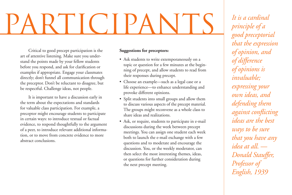# **PARTICIPANTS** *It is a cardinal*<br>principle of a<br>good preceptoria

Critical to good precept participation is the art of attentive listening. Make sure you understand the points made by your fellow students before you respond, and ask for clarification or examples if appropriate. Engage your classmates directly; don't funnel all communication through the preceptor. Don't be reluctant to disagree, but be respectful. Challenge ideas, not people.

It is important to have a discussion early in the term about the expectations and standards for valuable class participation. For example, a preceptor might encourage students to participate in certain ways: to introduce textual or factual evidence, to respond thoughtfully to the argument of a peer, to introduce relevant additional information, or to move from concrete evidence to more abstract conclusions.

#### **Suggestions for preceptors:**

- Ask students to write extemporaneously on a topic or question for a few minutes at the beginning of precept, and allow students to read from their responses during precept.
- • Choose an example—such as a legal case or a life experience—to enhance understanding and provoke different opinions.
- • Split students into small groups and allow them to discuss various aspects of the precept material. The groups might reconvene as a whole class to share ideas and realizations.
- Ask, or require, students to participate in e-mail discussions during the week between precept meetings. You can assign one student each week both to launch the e-mail exchange with a few questions and to moderate and encourage the discussion. You, or the weekly moderator, can then select the most interesting themes, ideas, or questions for further consideration during the next precept meeting.

*principle of a good preceptorial that the expression of opinion, and of difference of opinions is invaluable; expressing your own ideas, and defending them against conflicting ideas are the best ways to be sure that you have any idea at all. — Donald Stauffer, Professor of English, 1939*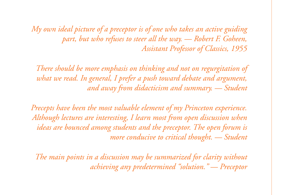*My own ideal picture of a preceptor is of one who takes an active guiding part, but who refuses to steer all the way. — Robert F. Goheen, Assistant Professor of Classics, 1955*

*There should be more emphasis on thinking and not on regurgitation of what we read. In general, I prefer a push toward debate and argument, and away from didacticism and summary. — Student*

*Precepts have been the most valuable element of my Princeton experience. Although lectures are interesting, I learn most from open discussion when ideas are bounced among students and the preceptor. The open forum is more conducive to critical thought. — Student*

*The main points in a discussion may be summarized for clarity without achieving any predetermined "solution." — Preceptor*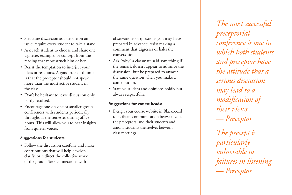- Structure discussion as a debate on an issue; require every student to take a stand.
- Ask each student to choose and share one vignette, example, or concept from the reading that most struck him or her.
- Resist the temptation to interject your ideas or reactions. A good rule of thumb is that the preceptor should not speak more than the most active student in the class.
- Don't be hesitant to leave discussion only partly resolved.
- Encourage one-on-one or smaller group conferences with students periodically throughout the semester during office hours. This will allow you to hear insights from quieter voices.

### **Suggestions for students:**

• Follow the discussion carefully and make contributions that will help develop, clarify, or redirect the collective work of the group. Seek connections with

observations or questions you may have prepared in advance; resist making a comment that digresses or halts the conversation.

- Ask "why" a classmate said something if the remark doesn't appear to advance the discussion, but be prepared to answer the same question when you make a contribution.
- State your ideas and opinions boldly but always respectfully.

### **Suggestions for course heads:**

• Design your course website in Blackboard to facilitate communication between you, the preceptors, and their students and among students themselves between class meetings.

*The most successful preceptorial conference is one in which both students and preceptor have the attitude that a serious discussion may lead to a modification of their views. — Preceptor*

*The precept is particularly vulnerable to failures in listening. — Preceptor*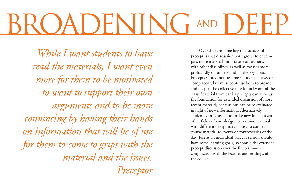### ROADENING TAND

*While I want students to have read the materials, I want even more for them to be motivated to want to support their own arguments and to be more convincing by having their hands on information that will be of use for them to come to grips with the material and the issues. — Preceptor*

Over the term, one key to a successful precept is that discussion both grows to encompass more material and makes connections with other disciplines, as well as focuses more profoundly on understanding the key ideas. Precepts should not become static, repetitive, or complacent, but must continue both to broaden and deepen the collective intellectual work of the class. Material from earlier precepts can serve as the foundation for extended discussion of more recent material; conclusions can be re-evaluated in light of new information. Alternatively, students can be asked to make new linkages with other fields of knowledge, to examine material with different disciplinary biases, to connect course material to events or controversies of the day. Just as an individual precept session should have some learning goals, so should the extended precept discussion over the full term—in conjunction with the lectures and readings of the course.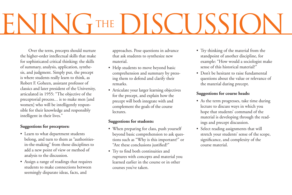# ENING THE DISCUSSION

Over the term, precepts should nurture the higher-order intellectual skills that make for sophisticated critical thinking: the skills of summary, analysis, application, synthesis, and judgment. Simply put, the precept is where students really learn to think, as Robert F. Goheen, assistant professor of classics and later president of the University, articulated in 1955: "The objective of the preceptorial process... is to make men [and women] who will be intelligently responsible for their knowledge and responsibly intelligent in their lives."

### **Suggestions for preceptors:**

- Learn to what department students belong, and turn to them as "authoritiesin-the-making" from those disciplines to add a new point of view or method of analysis to the discussion.
- Assign a range of readings that requires students to make connections between seemingly disparate ideas, facts, and

approaches. Pose questions in advance that ask students to synthesize new material.

- Help students to move beyond basic comprehension and summary by pressing them to defend and clarify their remarks.
- • Articulate your larger learning objectives for the precept, and explain how the precept will both integrate with and complement the goals of the course lectures.

### **Suggestions for students:**

- When preparing for class, push yourself beyond basic comprehension to ask questions such as "Why is this important?" or "Are these conclusions justified?"
- Try to find both continuities and ruptures with concepts and material you learned earlier in the course or in other courses you've taken.
- • Try thinking of the material from the standpoint of another discipline, for example: "How would a sociologist make sense of this historical material?"
- Don't be hesitant to raise fundamental questions about the value or relevance of the material during precept.

### **Suggestions for course heads:**

- As the term progresses, take time during lecture to discuss ways in which you hope that students' command of the material is developing through the readings and precept discussion.
- • Select reading assignments that will stretch your students' sense of the scope, significance, and complexity of the course material.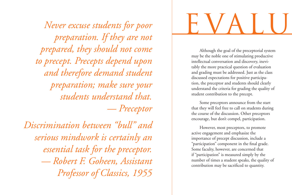*Never excuse students for poor preparation. If they are not prepared, they should not come to precept. Precepts depend upon and therefore demand student preparation; make sure your students understand that. — Preceptor*

*Discrimination between "bull" and serious mindwork is certainly an essential task for the preceptor. — Robert F. Goheen, Assistant Professor of Classics, 1955*

# EVALU

Although the goal of the preceptorial system may be the noble one of stimulating productive intellectual conversation and discovery, inevitably the more practical question of evaluation and grading must be addressed. Just as the class discussed expectations for positive participation, the preceptor and students should clearly understand the criteria for grading the quality of student contribution to the precept.

Some preceptors announce from the start that they will feel free to call on students during the course of the discussion. Other preceptors encourage, but don't compel, participation.

However, most preceptors, to promote active engagement and emphasize the importance of precept discussion, include a "participation" component in the final grade. Some faculty, however, are concerned that if "participation" is measured simply by the number of times a student speaks, the quality of contribution may be sacrificed to quantity.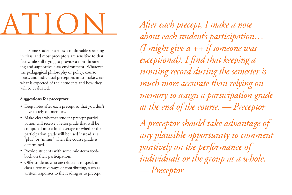# EVALUATION

Some students are less comfortable speaking in class, and most preceptors are sensitive to that fact while still trying to provide a non-threatening and supportive class environment. Whatever the pedagogical philosophy or policy, course heads and individual preceptors must make clear what is expected of their students and how they will be evaluated.

### **Suggestions for preceptors:**

- Keep notes after each precept so that you don't have to rely on memory.
- Make clear whether student precept participation will receive a letter grade that will be computed into a final average or whether the participation grade will be used instead as a "plus" or "minus" when the course grade is determined.
- Provide students with some mid-term feedback on their participation.
- Offer students who are reluctant to speak in class alternative ways of contributing, such as written responses to the reading or to precept

*After each precept, I make a note about each student's participation… (I might give a ++ if someone was exceptional). I find that keeping a running record during the semester is much more accurate than relying on memory to assign a participation grade at the end of the course. — Preceptor A preceptor should take advantage of any plausible opportunity to comment positively on the performance of individuals or the group as a whole.*

*— Preceptor*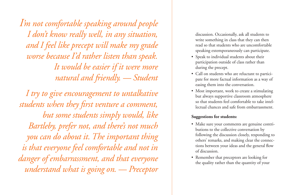*I'm not comfortable speaking around people I don't know really well, in any situation, and I feel like precept will make my grade worse because I'd rather listen than speak. It would be easier if it were more natural and friendly. — Student*

*I try to give encouragement to untalkative students when they first venture a comment, but some students simply would, like Bartleby, prefer not, and there's not much you can do about it. The important thing is that everyone feel comfortable and not in danger of embarrassment, and that everyone understand what is going on. — Preceptor*

discussion. Occasionally, ask all students to write something in class that they can then read so that students who are uncomfortable speaking extemporaneously can participate.

- Speak to individual students about their participation outside of class rather than during the precept.
- Call on students who are reluctant to participate for more factual information as a way of easing them into the conversation.
- Most important, work to create a stimulating but always supportive classroom atmosphere so that students feel comfortable to take intellectual chances and safe from embarrassment.

#### **Suggestions for students:**

- Make sure your comments are genuine contributions to the collective conversation by following the discussion closely, responding to others' remarks, and making clear the connections between your ideas and the general flow of discussion.
- Remember that preceptors are looking for the quality rather than the quantity of your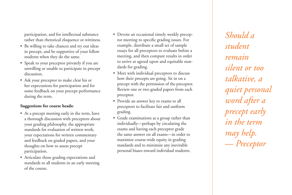participation, and for intellectual substance rather than rhetorical eloquence or wittiness.

- Be willing to take chances and try out ideas in precept, and be supportive of your fellow students when they do the same.
- Speak to your preceptor privately if you are unwilling or unable to participate in precept discussion.
- Ask your preceptor to make clear his or her expectations for participation and for some feedback on your precept performance during the term.

### **Suggestions for course heads:**

- At a precept meeting early in the term, have a thorough discussion with preceptors about your grading philosophy, the appropriate standards for evaluation of written work, your expectations for written commentary and feedback on graded papers, and your thoughts on how to assess precept participation.
- • Articulate those grading expectations and standards to all students in an early meeting of the course.
- • Devote an occasional timely weekly preceptor meeting to specific grading issues. For example, distribute a small set of sample essays for all preceptors to evaluate before a meeting, and then compare results in order to arrive at agreed upon and equitable standards for grading.
- Meet with individual preceptors to discuss how their precepts are going. Sit in on a precept with the permission of the preceptor. Review one or two graded papers from each preceptor.
- • Provide an answer key to exams to all preceptors to facilitate fair and uniform grading.
- Grade examinations as a group rather than individually—perhaps by circulating the exams and having each preceptor grade the same answer on all exams—in order to maximize course-wide equity in grading standards and to minimize any inevitable personal biases toward individual students.

*Should a student remain silent or too talkative, a quiet personal word after a precept early in the term may help. — Preceptor*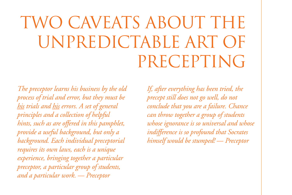### TWO CAVEATS ABOUT THE UNPREDICTABLE ART OF PRECEPTING

*The preceptor learns his business by the old process of trial and error, but they must be his trials and his errors. A set of general principles and a collection of helpful hints, such as are offered in this pamphlet, provide a useful background, but only a background. Each individual preceptorial requires its own laws, each is a unique experience, bringing together a particular preceptor, a particular group of students, and a particular work. — Preceptor*

*If, after everything has been tried, the precept still does not go well, do not conclude that you are a failure. Chance can throw together a group of students whose ignorance is so universal and whose indifference is so profound that Socrates himself would be stumped! — Preceptor*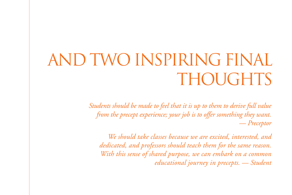### AND TWO INSPIRING FINAL THOUGHTS

*Students should be made to feel that it is up to them to derive full value from the precept experience; your job is to offer something they want. — Preceptor*

*We should take classes because we are excited, interested, and dedicated, and professors should teach them for the same reason. With this sense of shared purpose, we can embark on a common educational journey in precepts. — Student*